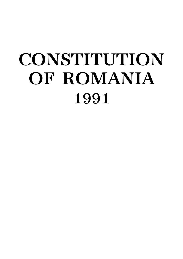# CONSTITUTION OF ROMANIA 1991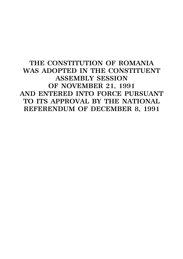# THE CONSTITUTION OF ROMANIA WAS ADOPTED IN THE CONSTITUENT ASSEMBLY SESSION OF NOVEMBER 21, 1991 AND ENTERED INTO FORCE PURSUANT TO ITS APPROVAL BY THE NATIONAL REFERENDUM OF DECEMBER 8, 1991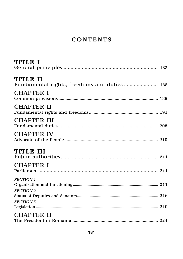## **CONTENTS**

| TITLE I            |  |
|--------------------|--|
| TITLE II           |  |
| <b>CHAPTER I</b>   |  |
| <b>CHAPTER II</b>  |  |
| <b>CHAPTER III</b> |  |
| <b>CHAPTER IV</b>  |  |
| TITLE III          |  |
| <b>CHAPTER I</b>   |  |
| <b>SECTION 1</b>   |  |
| <b>SECTION 2</b>   |  |
| <b>SECTION 3</b>   |  |
| <b>CHAPTER II</b>  |  |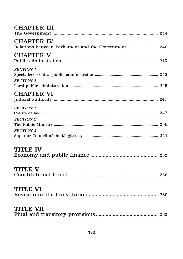| <b>CHAPTER III</b>                                                       |  |
|--------------------------------------------------------------------------|--|
| <b>CHAPTER IV</b><br>Relations between Parliament and the Government 240 |  |
| <b>CHAPTER V</b>                                                         |  |
| <b>SECTION 1</b>                                                         |  |
| <b>SECTION 2</b>                                                         |  |
| <b>CHAPTER VI</b>                                                        |  |
| <b>SECTION 1</b>                                                         |  |
| <b>SECTION 2</b>                                                         |  |
| <b>SECTION 3</b>                                                         |  |
| <b>TITLE IV</b>                                                          |  |
| <b>TITLE V</b>                                                           |  |
| <b>TITLE VI</b>                                                          |  |
| <b>TITLE VII</b>                                                         |  |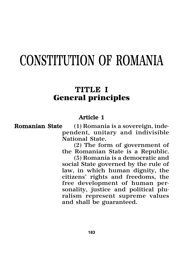# CONSTITUTION OF ROMANIA

# TITLE I **General principles**

## Article 1

Romanian State (1) Romania is a sovereign, independent, unitary and indivisible National State.

(2) The form of government of the Romanian State is a Republic.

(3) Romania is a democratic and social State governed by the rule of law, in which human dignity, the citizens' rights and freedoms, the free development of human personality, justice and political pluralism represent supreme values and shall be guaranteed.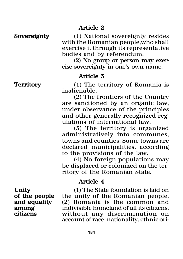### Article 2

Sovereignty (1) National sovereignty resides with the Romanian people,who shall exercise it through its representative bodies and by referendum.

> (2) No group or person may exercise sovereignty in one's own name.

### Article 3

Territory (1) The territory of Romania is inalienable.

(2) The frontiers of the Country are sanctioned by an organic law, under observance of the principles and other generally recognized regulations of international law.

(3) The territory is organized administratively into communes, towns and counties. Some towns are declared municipalities, according to the provisions of the law.

(4) No foreign populations may be displaced or colonized on the territory of the Romanian State.

### Article 4

Unity (1) The State foundation is laid on<br>of the people the unity of the Romanian people. of the people the unity of the Romanian people.<br>and equality (2) Romania is the common and  $(2)$  Romania is the common and among indivisible homeland of all its citizens,<br>
citizens without any discrimination on without any discrimination on account of race, nationality, ethnic ori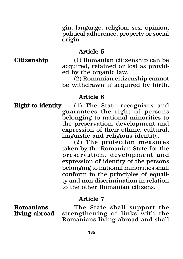gin, language, religion, sex, opinion, political adherence, property or social origin.

### Article 5

Citizenship (1) Romanian citizenship can be acquired, retained or lost as provided by the organic law.

> (2) Romanian citizenship cannot be withdrawn if acquired by birth.

### Article 6

Right to identity (1) The State recognizes and guarantees the right of persons belonging to national minorities to the preservation, development and expression of their ethnic, cultural, linguistic and religious identity.

(2) The protection measures taken by the Romanian State for the preservation, development and expression of identity of the persons belonging to national minorities shall conform to the principles of equality and non-discrimination in relation to the other Romanian citizens.

### Article 7

Romanians The State shall support the<br>iving abroad strengthening of links with the strengthening of links with the Romanians living abroad and shall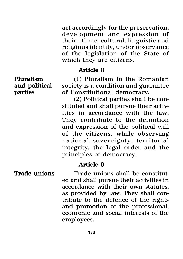act accordingly for the preservation, development and expression of their ethnic, cultural, linguistic and religious identity, under observance of the legislation of the State of which they are citizens.

### Article 8

Pluralism (1) Pluralism in the Romanian and political society is a condition and guarantee parties of Constitutional democracy.

> (2) Political parties shall be constituted and shall pursue their activities in accordance with the law. They contribute to the definition and expression of the political will of the citizens, while observing national sovereignty, territorial integrity, the legal order and the principles of democracy.

### Article 9

Trade unions Trade unions shall be constituted and shall pursue their activities in accordance with their own statutes, as provided by law. They shall contribute to the defence of the rights and promotion of the professional, economic and social interests of the employees.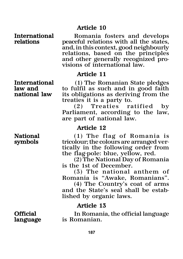### Article 10

International a Romania fosters and develops<br>
relations expanding peaceful relations with all the states. peaceful relations with all the states, and, in this context, good neighbourly relations, based on the principles and other generally recognized provisions of international law.

### Article 11

International (1) The Romanian State pledges<br>
law and to fulfil as such and in good faith law and to fulfil as such and in good faith<br> **national law** its obligations as deriving from the its obligations as deriving from the treaties it is a party to.

> (2) Treaties ratified by Parliament, according to the law, are part of national law.

### Article 12

National (1) The flag of Romania is<br>symbols tricolour: the colours are arranged vertricolour; the colours are arranged vertically in the following order from the flag-pole: blue, yellow, red.

> (2) The National Day of Romania is the 1st of December.

> (3) The national anthem of Romania is "Awake, Romanians".

> (4) The Country's coat of arms and the State's seal shall be established by organic laws.

### Article 13

**Official** In Romania, the official language<br>**language** is Romanian. is Romanian.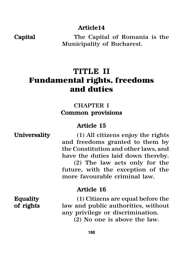### Article14

Capital The Capital of Romania is the Municipality of Bucharest.

# TITLE II **Fundamental rights, freedoms and duties**

### CHAPTER I Common provisions

### Article 15

Universality (1) All citizens enjoy the rights and freedoms granted to them by the Constitution and other laws, and have the duties laid down thereby. (2) The law acts only for the future, with the exception of the more favourable criminal law.

### Article 16

Equality (1) Citizens are equal before the of rights law and public authorities, without any privilege or discrimination. (2) No one is above the law.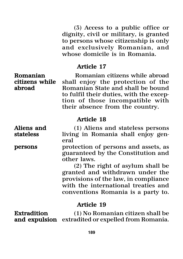(3) Access to a public office or dignity, civil or military, is granted to persons whose citizenship is only and exclusively Romanian, and whose domicile is in Romania.

### Article 17

**Romanian**<br>**Romanian citizens while abroad**<br>**Romanian citizens while** shall enjoy the protection of the citizens while shall enjoy the protection of the Romanian State and shall be bound to fulfil their duties, with the exception of those incompatible with their absence from the country.

### Article 18

Aliens and (1) Aliens and stateless persons<br>stateless living in Romania shall enjoy genliving in Romania shall enjoy general

persons protection of persons and assets, as guaranteed by the Constitution and other laws.

> (2) The right of asylum shall be granted and withdrawn under the provisions of the law, in compliance with the international treaties and conventions Romania is a party to.

### Article 19

Extradition (1) No Romanian citizen shall be and expulsion extradited or expelled from Romania.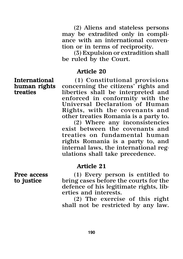(2) Aliens and stateless persons may be extradited only in compliance with an international convention or in terms of reciprocity.

(3) Expulsion or extradition shall be ruled by the Court.

### Article 20

International (1) Constitutional provisions<br>human rights concerning the citizens' rights and human rights concerning the citizens' rights and<br>treaties and liberties shall be interpreted and liberties shall be interpreted and enforced in conformity with the Universal Declaration of Human Rights, with the covenants and other treaties Romania is a party to.

> (2) Where any inconsistencies exist between the covenants and treaties on fundamental human rights Romania is a party to, and internal laws, the international regulations shall take precedence.

### Article 21

Free access (1) Every person is entitled to to justice bring cases before the courts for the defence of his legitimate rights, liberties and interests.

> (2) The exercise of this right shall not be restricted by any law.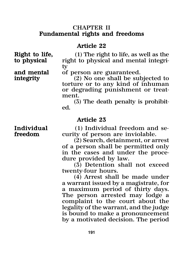### CHAPTER II Fundamental rights and freedoms

### Article 22

**Right to life,** (1) The right to life, as well as the to physical and mental integriright to physical and mental integrity

**and mental** of person are guaranteed.<br>**integrity** (2) No one shall be sul

 $(2)$  No one shall be subjected to torture or to any kind of inhuman or degrading punishment or treatment.

(3) The death penalty is prohibited.

### Article 23

Individual (1) Individual freedom and se-<br>freedom curity of person are inviolable. curity of person are inviolable.

(2) Search, detainment, or arrest of a person shall be permitted only in the cases and under the procedure provided by law.

(3) Detention shall not exceed twenty-four hours.

(4) Arrest shall be made under a warrant issued by a magistrate, for a maximum period of thirty days. The person arrested may lodge a complaint to the court about the legality of the warrant, and the judge is bound to make a pronouncement by a motivated decision. The period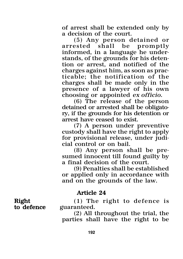of arrest shall be extended only by a decision of the court.

(5) Any person detained or arrested shall be promptly informed, in a language he understands, of the grounds for his detention or arrest, and notified of the charges against him, as soon as practicable; the notification of the charges shall be made only in the presence of a lawyer of his own choosing or appointed *ex officio.*

(6) The release of the person detained or arrested shall be obligatory, if the grounds for his detention or arrest have ceased to exist.

(7) A person under preventive custody shall have the right to apply for provisional release, under judicial control or on bail.

(8) Any person shall be presumed innocent till found guilty by a final decision of the court.

(9) Penalties shall be established or applied only in accordance with and on the grounds of the law.

### Article 24

**Right**  $(1)$  The right to defence is to defence  $(1)$  and  $(2)$  and  $(3)$  and  $(4)$  and  $(5)$  and  $(6)$  are  $(7)$  and  $(8)$  are  $(8)$  are  $(9)$  and  $(1)$  are  $(1)$  and  $(2)$  are  $(3)$  and  $(4)$  are  $(5)$  and  $(7)$  are  $($ guaranteed.

> (2) All throughout the trial, the parties shall have the right to be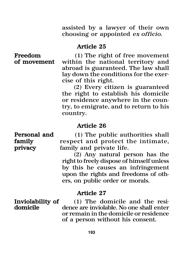assisted by a lawyer of their own choosing or appointed *ex officio.*

### Article 25

Freedom (1) The right of free movement<br>of movement within the national territory and within the national territory and abroad is guaranteed. The law shall lay down the conditions for the exercise of this right.

> (2) Every citizen is guaranteed the right to establish his domicile or residence anywhere in the country, to emigrate, and to return to his country.

### Article 26

**Personal and** (1) The public authorities shall family respect and protect the intimate, privacy family and private life.

> (2) Any natural person has the right to freely dispose of himself unless by this he causes an infringement upon the rights and freedoms of others, on public order or morals.

### Article 27

Inviolability of (1) The domicile and the resi-<br>domicile dence are inviolable. No one shall enter dence are inviolable. No one shall enter or remain in the domicile or residence of a person without his consent.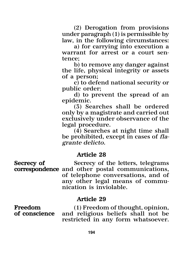(2) Derogation from provisions under paragraph (1) is permissible by law, in the following circumstances:

a) for carrying into execution a warrant for arrest or a court sentence;

b) to remove any danger against the life, physical integrity or assets of a person;

c) to defend national security or public order;

d) to prevent the spread of an epidemic.

(3) Searches shall be ordered only by a magistrate and carried out exclusively under observance of the legal procedure.

(4) Searches at night time shall be prohibited, except in cases of *flagrante delicto.*

### Article 28

Secrecy of Secrecy of the letters, telegrams correspondence and other postal communications, of telephone conversations, and of any other legal means of communication is inviolable.

### Article 29

Freedom (1) Freedom of thought, opinion, of conscience and religious beliefs shall not be restricted in any form whatsoever.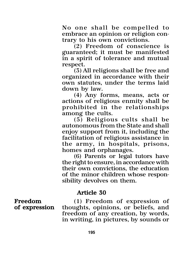No one shall be compelled to embrace an opinion or religion contrary to his own convictions.

(2) Freedom of conscience is guaranteed; it must be manifested in a spirit of tolerance and mutual respect.

(3) All religions shall be free and organized in accordance with their own statutes, under the terms laid down by law.

(4) Any forms, means, acts or actions of religious enmity shall be prohibited in the relationships among the cults.

(5) Religious cults shall be autonomous from the State and shall enjoy support from it, including the facilitation of religious assistance in the army, in hospitals, prisons, homes and orphanages.

(6) Parents or legal tutors have the right to ensure, in accordance with their own convictions, the education of the minor children whose responsibility devolves on them.

### Article 30

Freedom (1) Freedom of expression of<br>of expression thoughts, opinions, or beliefs, and thoughts, opinions, or beliefs, and freedom of any creation, by words, in writing, in pictures, by sounds or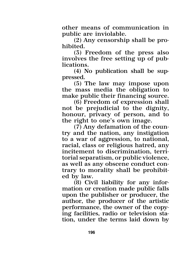other means of communication in public are inviolable.

(2) Any censorship shall be prohibited.

(3) Freedom of the press also involves the free setting up of publications.

(4) No publication shall be suppressed.

(5) The law may impose upon the mass media the obligation to make public their financing source.

(6) Freedom of expression shall not be prejudicial to the dignity, honour, privacy of person, and to the right to one's own image.

(7) Any defamation of the country and the nation, any instigation to a war of aggression, to national, racial, class or religious hatred, any incitement to discrimination, territorial separatism, or public violence, as well as any obscene conduct contrary to morality shall be prohibited by law.

(8) Civil liability for any information or creation made public falls upon the publisher or producer, the author, the producer of the artistic performance, the owner of the copying facilities, radio or television station, under the terms laid down by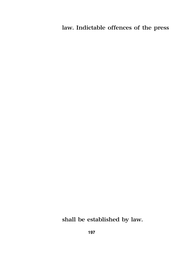law. Indictable offences of the press

# shall be established by law.

**197**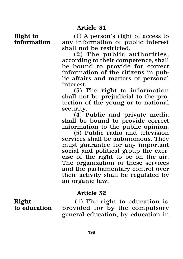**Right to** (1) A person's right of access to information any information of public interest any information of public interest shall not be restricted.

(2) The public authorities, according to their competence, shall be bound to provide for correct information of the citizens in public affairs and matters of personal interest.

(3) The right to information shall not be prejudicial to the protection of the young or to national security.

(4) Public and private media shall be bound to provide correct information to the public opinion.

(5) Public radio and television services shall be autonomous. They must guarantee for any important social and political group the exercise of the right to be on the air. The organization of these services and the parliamentary control over their activity shall be regulated by an organic law.

### Article 32

**Right** (1) The right to education is<br>to education provided for by the compulsory provided for by the compulsory general education, by education in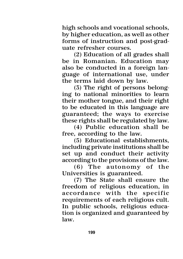high schools and vocational schools, by higher education, as well as other forms of instruction and post-graduate refresher courses.

(2) Education of all grades shall be in Romanian. Education may also be conducted in a foreign language of international use, under the terms laid down by law.

(3) The right of persons belonging to national minorities to learn their mother tongue, and their right to be educated in this language are guaranteed; the ways to exercise these rights shall be regulated by law.

(4) Public education shall be free, according to the law.

(5) Educational establishments, including private institutions shall be set up and conduct their activity according to the provisions of the law.

(6) The autonomy of the Universities is guaranteed.

(7) The State shall ensure the freedom of religious education, in accordance with the specific requirements of each religious cult. In public schools, religious education is organized and guaranteed by law.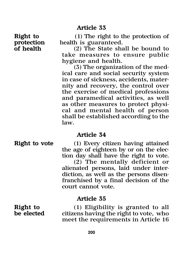**Right to** (1) The right to the protection of **protection** health is guaranteed.<br>
of health (2) The State sha

 $(2)$  The State shall be bound to take measures to ensure public hygiene and health.

(3) The organization of the medical care and social security system in case of sickness, accidents, maternity and recovery, the control over the exercise of medical professions and paramedical activities, as well as other measures to protect physical and mental health of person shall be established according to the law.

### Article 34

| Right to vote | (1) Every citizen having attained<br>the age of eighteen by or on the elec-<br>tion day shall have the right to vote.<br>(2) The mentally deficient or |  |
|---------------|--------------------------------------------------------------------------------------------------------------------------------------------------------|--|
|               | alienated persons, laid under inter-<br>diction, as well as the persons disen-<br>franchised by a final decision of the                                |  |
|               | court cannot vote.                                                                                                                                     |  |
| Article 35    |                                                                                                                                                        |  |

**Right to (1)** Eligibility is granted to all **be elected** citizens having the right to vote, who citizens having the right to vote, who meet the requirements in Article 16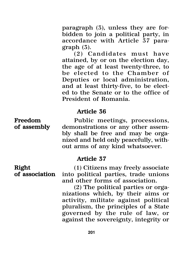paragraph (3), unless they are forbidden to join a political party, in accordance with Article 37 paragraph (3).

(2) Candidates must have attained, by or on the election day, the age of at least twenty-three, to be elected to the Chamber of Deputies or local administration, and at least thirty-five, to be elected to the Senate or to the office of President of Romania.

### Article 36

Freedom Public meetings, processions, of assembly demonstrations or any other assembly shall be free and may be organized and held only peacefully, without arms of any kind whatsoever.

### Article 37

Right (1) Citizens may freely associate of association into political parties, trade unions and other forms of association.

(2) The political parties or organizations which, by their aims or activity, militate against political pluralism, the principles of a State governed by the rule of law, or against the sovereignty, integrity or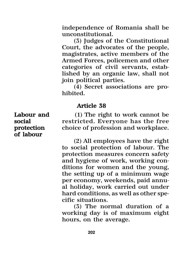independence of Romania shall be unconstitutional.

(3) Judges of the Constitutional Court, the advocates of the people, magistrates, active members of the Armed Forces, policemen and other categories of civil servants, established by an organic law, shall not join political parties.

(4) Secret associations are prohibited.

### Article 38

of labour

Labour and (1) The right to work cannot be<br>social restricted. Everyone has the free restricted. Everyone has the free protection choice of profession and workplace.

> (2) All employees have the right to social protection of labour. The protection measures concern safety and hygiene of work, working conditions for women and the young, the setting up of a minimum wage per economy, weekends, paid annual holiday, work carried out under hard conditions, as well as other specific situations.

> (3) The normal duration of a working day is of maximum eight hours, on the average.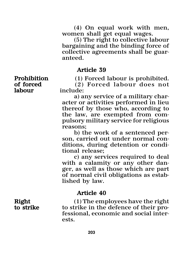(4) On equal work with men, women shall get equal wages.

(5) The right to collective labour bargaining and the binding force of collective agreements shall be guaranteed.

### Article 39

**Prohibition** (1) Forced labour is prohibited.<br>
of forced (2) Forced labour does not

of forced (2) Forced labour does not<br>
labour include: include:

> a) any service of a military character or activities performed in lieu thereof by those who, according to the law, are exempted from compulsory military service for religious reasons;

> b) the work of a sentenced person, carried out under normal conditions, during detention or conditional release;

> c) any services required to deal with a calamity or any other danger, as well as those which are part of normal civil obligations as established by law.

### Article 40

**Right** (1) The employees have the right<br>to strike to strike in the defence of their proto strike in the defence of their professional, economic and social interests.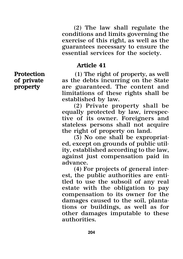(2) The law shall regulate the conditions and limits governing the exercise of this right, as well as the guarantees necessary to ensure the essential services for the society.

### Article 41

**Protection** (1) The right of property, as well of private as the debts incurring on the State property are guaranteed. The content and limitations of these rights shall be established by law.

(2) Private property shall be equally protected by law, irrespective of its owner. Foreigners and stateless persons shall not acquire the right of property on land.

(3) No one shall be expropriated, except on grounds of public utility, established according to the law, against just compensation paid in advance.

(4) For projects of general interest, the public authorities are entitled to use the subsoil of any real estate with the obligation to pay compensation to its owner for the damages caused to the soil, plantations or buildings, as well as for other damages imputable to these authorities.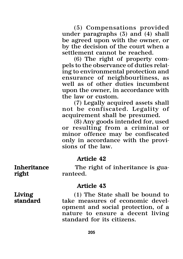(5) Compensations provided under paragraphs (3) and (4) shall be agreed upon with the owner, or by the decision of the court when a settlement cannot be reached.

(6) The right of property compels to the observance of duties relating to environmental protection and ensurance of neighbourliness, as well as of other duties incumbent upon the owner, in accordance with the law or custom.

(7) Legally acquired assets shall not be confiscated. Legality of acquirement shall be presumed.

(8) Any goods intended for, used or resulting from a criminal or minor offence may be confiscated only in accordance with the provisions of the law.

### Article 42

Inheritance The right of inheritance is gua-<br>right ranteed. ranteed.

### Article 43

Living (1) The State shall be bound to<br>standard take measures of economic develtake measures of economic development and social protection, of a nature to ensure a decent living standard for its citizens.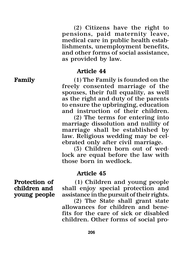(2) Citizens have the right to pensions, paid maternity leave, medical care in public health establishments, unemployment benefits, and other forms of social assistance, as provided by law.

### Article 44

Family  $(1)$  The Family is founded on the freely consented marriage of the spouses, their full equality, as well as the right and duty of the parents to ensure the upbringing, education and instruction of their children.

(2) The terms for entering into marriage dissolution and nullity of marriage shall be established by law. Religious wedding may be celebrated only after civil marriage.

(3) Children born out of wedlock are equal before the law with those born in wedlock.

### Article 45

**Protection of** (1) Children and young people<br> **children and** shall enjoy special protection and shall enjoy special protection and young people assistance in the pursuit of their rights.

> (2) The State shall grant state allowances for children and benefits for the care of sick or disabled children. Other forms of social pro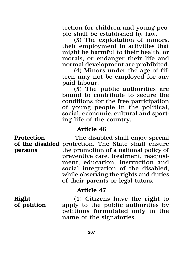tection for children and young people shall be established by law.

(3) The exploitation of minors, their employment in activities that might be harmful to their health, or morals, or endanger their life and normal development are prohibited.

(4) Minors under the age of fifteen may not be employed for any paid labour.

(5) The public authorities are bound to contribute to secure the conditions for the free participation of young people in the political, social, economic, cultural and sporting life of the country.

### Article 46

Protection The disabled shall enjoy special of the disabled protection. The State shall ensure persons the promotion of a national policy of preventive care, treatment, readjustment, education, instruction and social integration of the disabled, while observing the rights and duties of their parents or legal tutors.

### Article 47

**Right** (1) Citizens have the right to of petition apply to the public authorities by apply to the public authorities by petitions formulated only in the name of the signatories.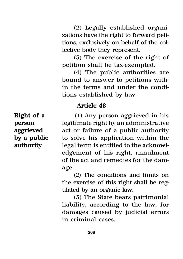(2) Legally established organizations have the right to forward petitions, exclusively on behalf of the collective body they represent.

(3) The exercise of the right of petition shall be tax-exempted.

(4) The public authorities are bound to answer to petitions within the terms and under the conditions established by law.

### Article 48

**Right of a**  $(1)$  Any person aggrieved in his person legitimate right by an administrative aggrieved act or failure of a public authority by a public to solve his application within the authority legal term is entitled to the acknowledgement of his right, annulment of the act and remedies for the damage.

> (2) The conditions and limits on the exercise of this right shall be regulated by an organic law.

> (3) The State bears patrimonial liability, according to the law, for damages caused by judicial errors in criminal cases.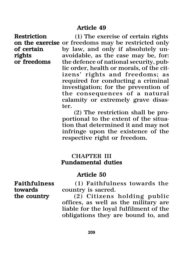### Article 49

Restriction (1) The exercise of certain rights on the exercise or freedoms may be restricted only of certain by law, and only if absolutely unrights avoidable, as the case may be, for:<br>or freedoms the defence of national security, pubthe defence of national security, public order, health or morals, of the citizens' rights and freedoms; as required for conducting a criminal investigation; for the prevention of the consequences of a natural calamity or extremely grave disaster.

> (2) The restriction shall be proportional to the extent of the situation that determined it and may not infringe upon the existence of the respective right or freedom.

### CHAPTER III Fundamental duties

### Article 50

Faithfulness (1) Faithfulness towards the towards country is sacred.

the country (2) Citizens holding public offices, as well as the military are liable for the loyal fulfilment of the obligations they are bound to, and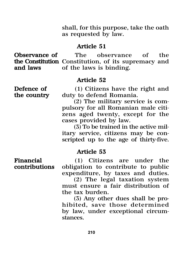shall, for this purpose, take the oath as requested by law.

### Article 51

Observance of The observance of the the Constitution Constitution, of its supremacy and and laws of the laws is binding.

### Article 52

**Defence of** (1) Citizens have the right and the country duty to defend Romania.

(2) The military service is compulsory for all Romanian male citizens aged twenty, except for the cases provided by law.

(3) To be trained in the active military service, citizens may be conscripted up to the age of thirty-five.

### Article 53

**Financial** (1) Citizens are under the<br>**Contributions** obligation to contribute to public obligation to contribute to public expenditure, by taxes and duties.

(2) The legal taxation system must ensure a fair distribution of the tax burden.

(3) Any other dues shall be prohibited, save those determined by law, under exceptional circumstances.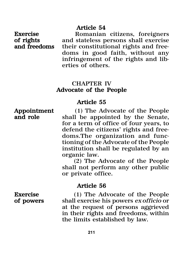### Article 54

Exercise Romanian citizens, foreigners of rights and stateless persons shall exercise<br>and freedoms their constitutional rights and freetheir constitutional rights and freedoms in good faith, without any infringement of the rights and liberties of others.

### CHAPTER IV Advocate of the People

### Article 55

**Appointment** (1) The Advocate of the People<br>and role shall be appointed by the Senate shall be appointed by the Senate, for a term of office of four years, to defend the citizens' rights and freedoms.The organization and functioning of the Advocate of the People institution shall be regulated by an organic law.

(2) The Advocate of the People shall not perform any other public or private office.

### Article 56

Exercise (1) The Advocate of the People of powers shall exercise his powers *ex officio* or at the request of persons aggrieved in their rights and freedoms, within the limits established by law.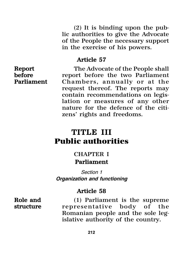(2) It is binding upon the public authorities to give the Advocate of the People the necessary support in the exercise of his powers.

### Article 57

Report The Advocate of the People shall<br>before the two Parliament before report before the two Parliament Parliament Chambers, annually or at the request thereof. The reports may contain recommendations on legislation or measures of any other nature for the defence of the citizens' rights and freedoms.

# TITLE III **Public authorities**

CHAPTER I Parliament

*Section 1 Organization and functioning*

### Article 58

Role and (1) Parliament is the supreme structure representative body of the Romanian people and the sole legislative authority of the country.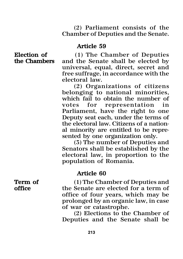# (2) Parliament consists of the Chamber of Deputies and the Senate.

# Article 59

Election of (1) The Chamber of Deputies<br>the Chambers and the Senate shall be elected by and the Senate shall be elected by universal, equal, direct, secret and free suffrage, in accordance with the electoral law.

> (2) Organizations of citizens belonging to national minorities, which fail to obtain the number of votes for representation in Parliament, have the right to one Deputy seat each, under the terms of the electoral law. Citizens of a national minority are entitled to be represented by one organization only.

> (3) The number of Deputies and Senators shall be established by the electoral law, in proportion to the population of Romania.

## Article 60

**Term of** (1) The Chamber of Deputies and office the Senate are elected for a term of office of four years, which may be prolonged by an organic law, in case of war or catastrophe.

> (2) Elections to the Chamber of Deputies and the Senate shall be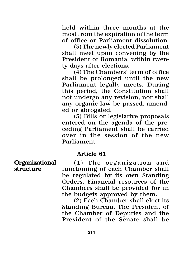held within three months at the most from the expiration of the term of office or Parliament dissolution.

(3) The newly elected Parliament shall meet upon convening by the President of Romania, within twenty days after elections.

(4) The Chambers' term of office shall be prolonged until the new Parliament legally meets. During this period, the Constitution shall not undergo any revision, nor shall any organic law be passed, amended or abrogated.

(5) Bills or legislative proposals entered on the agenda of the preceding Parliament shall be carried over in the session of the new Parliament.

# Article 61

Organizational (1) The organization and structure functioning of each Chamber shall be regulated by its own Standing Orders. Financial resources of the Chambers shall be provided for in the budgets approved by them.

> (2) Each Chamber shall elect its Standing Bureau. The President of the Chamber of Deputies and the President of the Senate shall be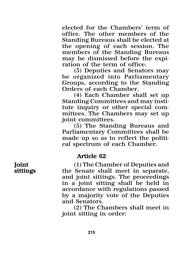elected for the Chambers' term of office. The other members of the Standing Bureaus shall be elected at the opening of each session. The members of the Standing Bureaus may be dismissed before the expiration of the term of office.

(3) Deputies and Senators may be organized into Parliamentary Groups, according to the Standing Orders of each Chamber.

(4) Each Chamber shall set up Standing Committees and may institute inquiry or other special committees. The Chambers may set up joint committees.

(5) The Standing Bureaus and Parliamentary Committees shall be made up so as to reflect the political spectrum of each Chamber.

## Article 62

Joint (1) The Chamber of Deputies and sittings the Senate shall meet in separate, and joint sittings. The proceedings in a joint sitting shall be held in accordance with regulations passed by a majority vote of the Deputies and Senators.

(2) The Chambers shall meet in joint sitting in order: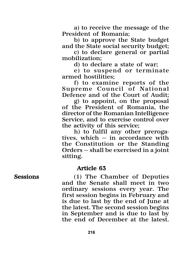a) to receive the message of the President of Romania;

b) to approve the State budget and the State social security budget;

c) to declare general or partial mobilization;

d) to declare a state of war;

e) to suspend or terminate armed hostilities;

f) to examine reports of the Supreme Council of National Defence and of the Court of Audit;

g) to appoint, on the proposal of the President of Romania, the director of the Romanian Intelligence Service, and to exercise control over the activity of this service;

h) to fulfil any other prerogatives, which — in accordance with the Constitution or the Standing Orders — shall be exercised in a joint sitting.

### Article 63

Sessions (1) The Chamber of Deputies and the Senate shall meet in two ordinary sessions every year. The first session begins in February and is due to last by the end of June at the latest. The second session begins in September and is due to last by the end of December at the latest.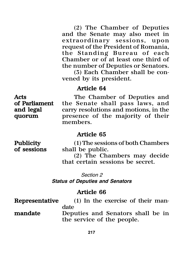(2) The Chamber of Deputies and the Senate may also meet in extraordinary sessions, upon request of the President of Romania, the Standing Bureau of each Chamber or of at least one third of the number of Deputies or Senators.

(3) Each Chamber shall be convened by its president.

# Article 64

Acts<br> **Acts** The Chamber of Deputies and<br> **Of Parliament** the Senate shall pass laws, and of Parliament the Senate shall pass laws, and<br>and legal carry resolutions and motions, in the carry resolutions and motions, in the quorum presence of the majority of their members.

#### Article 65

Publicity (1) The sessions of both Chambers<br>
of sessions shall be public. shall be public.

> (2) The Chambers may decide that certain sessions be secret.

*Section 2 Status of Deputies and Senators*

## Article 66

Representative (1) In the exercise of their mandate

mandate Deputies and Senators shall be in the service of the people.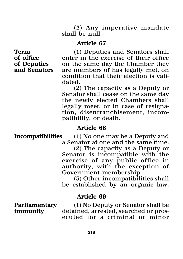(2) Any imperative mandate shall be null.

### Article 67

**Term** (1) Deputies and Senators shall<br>**of office** enter in the exercise of their office of office enter in the exercise of their office<br>of Deputies on the same day the Chamber they of Deputies on the same day the Chamber they<br>and Senators are members of has legally met. on are members of has legally met, on condition that their election is validated.

> (2) The capacity as a Deputy or Senator shall cease on the same day the newly elected Chambers shall legally meet, or in case of resignation, disenfranchisement, incompatibility, or death.

# Article 68

Incompatibilities (1) No one may be a Deputy and a Senator at one and the same time.

(2) The capacity as a Deputy or Senator is incompatible with the exercise of any public office in authority, with the exception of Government membership.

(3) Other incompatibilities shall be established by an organic law.

# Article 69

**Parliamentary** (1) No Deputy or Senator shall be immunity detained, arrested, searched or prosdetained, arrested, searched or prosecuted for a criminal or minor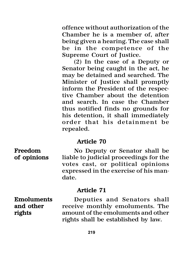offence without authorization of the Chamber he is a member of, after being given a hearing. The case shall be in the competence of the Supreme Court of Justice.

(2) In the case of a Deputy or Senator being caught in the act, he may be detained and searched. The Minister of Justice shall promptly inform the President of the respective Chamber about the detention and search. In case the Chamber thus notified finds no grounds for his detention, it shall immediately order that his detainment be repealed.

### Article 70

Freedom No Deputy or Senator shall be of opinions liable to judicial proceedings for the votes cast, or political opinions expressed in the exercise of his mandate.

### Article 71

Emoluments Deputies and Senators shall<br>and other receive monthly emoluments. The receive monthly emoluments. The rights amount of the emoluments and other rights shall be established by law.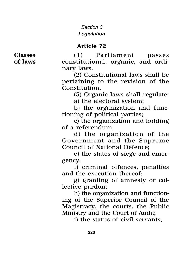# *Section 3 Legislation*

# Article 72

Classes (1) Parliament passes of laws constitutional, organic, and ordinary laws.

> (2) Constitutional laws shall be pertaining to the revision of the Constitution.

(3) Organic laws shall regulate:

a) the electoral system;

b) the organization and functioning of political parties;

c) the organization and holding of a referendum;

d) the organization of the Government and the Supreme Council of National Defence;

e) the states of siege and emergency;

f) criminal offences, penalties and the execution thereof;

g) granting of amnesty or collective pardon;

h) the organization and functioning of the Superior Council of the Magistracy, the courts, the Public Ministry and the Court of Audit;

i) the status of civil servants;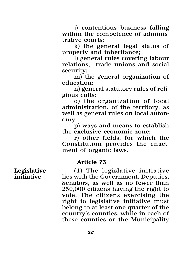j) contentious business falling within the competence of administrative courts;

k) the general legal status of property and inheritance;

l) general rules covering labour relations, trade unions and social security;

m) the general organization of education;

n) general statutory rules of religious cults;

o) the organization of local administration, of the territory, as well as general rules on local autonomy;

p) ways and means to establish the exclusive economic zone;

r) other fields, for which the Constitution provides the enactment of organic laws.

## Article 73

Legislative (1) The legislative initiative<br>
initiative lies with the Government Deputies lies with the Government, Deputies, Senators, as well as no fewer than 250,000 citizens having the right to vote. The citizens exercising the right to legislative initiative must belong to at least one quarter of the country's counties, while in each of these counties or the Municipality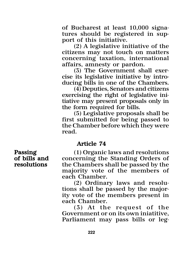of Bucharest at least 10,000 signatures should be registered in support of this initiative.

(2) A legislative initiative of the citizens may not touch on matters concerning taxation, international affairs, amnesty or pardon.

(3) The Government shall exercise its legislative initiative by introducing bills in one of the Chambers.

(4) Deputies, Senators and citizens exercising the right of legislative initiative may present proposals only in the form required for bills.

(5) Legislative proposals shall be first submitted for being passed to the Chamber before which they were read.

#### Article 74

**Passing (1)** Organic laws and resolutions<br>of bills and concerning the Standing Orders of of bills and concerning the Standing Orders of<br>resolutions the Chambers shall be passed by the the Chambers shall be passed by the majority vote of the members of each Chamber.

> (2) Ordinary laws and resolutions shall be passed by the majority vote of the members present in each Chamber.

> (3) At the request of the Government or on its own iniatitive, Parliament may pass bills or leg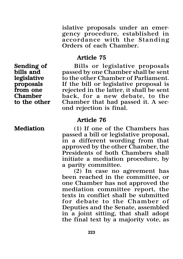islative proposals under an emergency procedure, established in accordance with the Standing Orders of each Chamber.

#### Article 75

Sending of Bills or legislative proposals<br>bills and bassed by one Chamber shall be sent bills and passed by one Chamber shall be sent<br>legislative to the other Chamber of Parliament. legislative to the other Chamber of Parliament.<br>
proposals the bill or legislative proposal is proposals If the bill or legislative proposal is<br> **From one** erected in the latter, it shall be sent **from one** rejected in the latter, it shall be sent<br>Chamber back, for a new debate, to the **Chamber** back, for a new debate, to the to the other Chamber that had passed it. A sec-Chamber that had passed it. A second rejection is final.

# Article 76

**Mediation** (1) If one of the Chambers has passed a bill or legislative proposal, in a different wording from that approved by the other Chamber, the Presidents of both Chambers shall initiate a mediation procedure, by a parity committee.

> (2) In case no agreement has been reached in the committee, or one Chamber has not approved the mediation committee report, the texts in conflict shall be submitted for debate to the Chamber of Deputies and the Senate, assembled in a joint sitting, that shall adopt the final text by a majority vote, as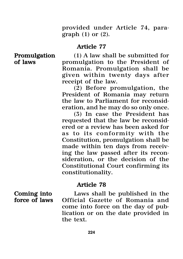provided under Article 74, paragraph  $(1)$  or  $(2)$ .

### Article 77

**Promulgation** (1) A law shall be submitted for<br>of laws promulgation to the President of promulgation to the President of Romania. Promulgation shall be given within twenty days after receipt of the law.

> (2) Before promulgation, the President of Romania may return the law to Parliament for reconsideration, and he may do so only once.

> (3) In case the President has requested that the law be reconsidered or a review has been asked for as to its conformity with the Constitution, promulgation shall be made within ten days from receiving the law passed after its reconsideration, or the decision of the Constitutional Court confirming its constitutionality.

# Article 78

**Coming into** Laws shall be published in the force of laws Official Gazette of Romania and Official Gazette of Romania and come into force on the day of publication or on the date provided in the text.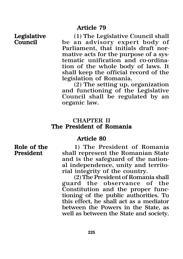Legislative (1) The Legislative Council shall<br>Council the an advisory expert body of be an advisory expert body of Parliament, that initials draft normative acts for the purpose of a systematic unification and co-ordination of the whole body of laws. It shall keep the official record of the legislation of Romania.

> (2) The setting up, organization and functioning of the Legislative Council shall be regulated by an organic law.

### CHAPTER II The President of Romania

## Article 80

Role of the 1) The President of Romania<br>President shall represent the Romanian State shall represent the Romanian State and is the safeguard of the national independence, unity and territorial integrity of the country.

> (2) The President of Romania shall guard the observance Constitution and the proper functioning of the public authorities. To this effect, he shall act as a mediator between the Powers in the State, as well as between the State and society.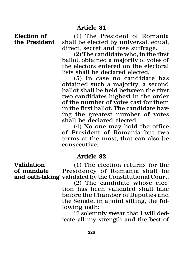Election of (1) The President of Romania<br>the President shall be elected by universal, equal, shall be elected by universal, equal, direct, secret and free suffrage.

> (2) The candidate who, in the first ballot, obtained a majority of votes of the electors entered on the electoral lists shall be declared elected.

> (3) In case no candidate has obtained such a majority, a second ballot shall be held between the first two candidates highest in the order of the number of votes cast for them in the first ballot. The candidate having the greatest number of votes shall be declared elected.

> (4) No one may hold the office of President of Romania but two terms at the most, that can also be consecutive.

## Article 82

Validation (1) The election returns for the<br>of mandate Presidency of Romania shall be Presidency of Romania shall be and oath-taking validated by the Constitutional Court.

(2) The candidate whose election has been validated shall take before the Chamber of Deputies and the Senate, in a joint sitting, the following oath:

"I solemnly swear that I will dedicate all my strength and the best of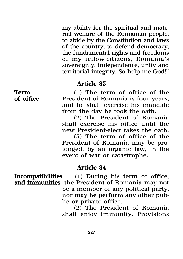my ability for the spiritual and material welfare of the Romanian people, to abide by the Constitution and laws of the country, to defend democracy, the fundamental rights and freedoms of my fellow-citizens, Romania's sovereignty, independence, unity and territorial integrity. So help me God!"

#### Article 83

Term (1) The term of office of the<br>
of office President of Romania is four years. President of Romania is four years, and he shall exercise his mandate from the day he took the oath.

> (2) The President of Romania shall exercise his office until the new President-elect takes the oath.

> (3) The term of office of the President of Romania may be prolonged, by an organic law, in the event of war or catastrophe.

### Article 84

Incompatibilities (1) During his term of office, and immunities the President of Romania may not be a member of any political party, nor may he perform any other public or private office.

(2) The President of Romania shall enjoy immunity. Provisions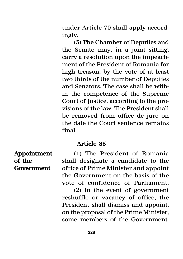under Article 70 shall apply accordingly.

(3) The Chamber of Deputies and the Senate may, in a joint sitting, carry a resolution upon the impeachment of the President of Romania for high treason, by the vote of at least two thirds of the number of Deputies and Senators. The case shall be within the competence of the Supreme Court of Justice, according to the provisions of the law. The President shall be removed from office de jure on the date the Court sentence remains final.

# Article 85

Appointment (1) The President of Romania of the shall designate a candidate to the Government office of Prime Minister and appoint the Government on the basis of the vote of confidence of Parliament.

> (2) In the event of government reshuffle or vacancy of office, the President shall dismiss and appoint, on the proposal of the Prime Minister, some members of the Government.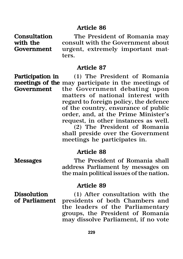# Article 86

**Consultation** The President of Romania may<br>with the consult with the Government about with the consult with the Government about<br> **Government** urgent, extremely important maturgent, extremely important matters.

### Article 87

Participation in (1) The President of Romania meetings of the may participate in the meetings of<br>Government the Government debating upon the Government debating upon matters of national interest with regard to foreign policy, the defence of the country, ensurance of public order, and, at the Prime Minister's request, in other instances as well. (2) The President of Romania

shall preside over the Government meetings he participates in.

## Article 88

Messages The President of Romania shall address Parliament by messages on the main political issues of the nation.

#### Article 89

**Dissolution** (1) After consultation with the of **Parliament** presidents of both Chambers and presidents of both Chambers and the leaders of the Parliamentary groups, the President of Romania may dissolve Parliament, if no vote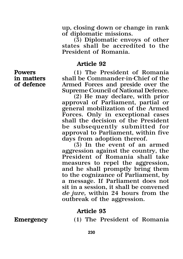up, closing down or change in rank of diplomatic missions.

(3) Diplomatic envoys of other states shall be accredited to the President of Romania.

#### Article 92

**Powers** (1) The President of Romania<br> **in matters** shall be Commander-in-Chief of the in matters shall be Commander-in-Chief of the<br>of defence armed Forces and preside over the Armed Forces and preside over the Supreme Council of National Defence.

(2) He may declare, with prior approval of Parliament, partial or general mobilization of the Armed Forces. Only in exceptional cases shall the decision of the President be subsequently submitted for approval to Parliament, within five days from adoption thereof.

(3) In the event of an armed aggression against the country, the President of Romania shall take measures to repel the aggression, and he shall promptly bring them to the cognizance of Parliament, by a message. If Parliament does not sit in a session, it shall be convened *de jure,* within 24 hours from the outbreak of the aggression.

# Article 93

**Emergency** (1) The President of Romania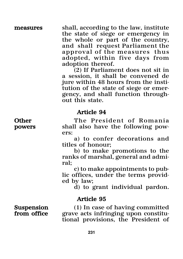measures shall, according to the law, institute the state of siege or emergency in the whole or part of the country, and shall request Parliament the approval of the measures thus adopted, within five days from adoption thereof.

> (2) If Parliament does not sit in a session, it shall be convened de jure within 48 hours from the institution of the state of siege or emergency, and shall function throughout this state.

### Article 94

Other The President of Romania powers shall also have the following powers:

a) to confer decorations and titles of honour;

b) to make promotions to the ranks of marshal, general and admiral;

c) to make appointments to public offices, under the terms provided by law;

d) to grant individual pardon.

### Article 95

Suspension (1) In case of having committed<br>from office grave acts infringing upon constitugrave acts infringing upon constitutional provisions, the President of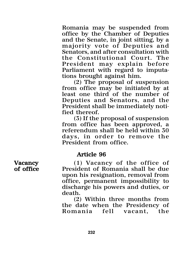Romania may be suspended from office by the Chamber of Deputies and the Senate, in joint sitting, by a majority vote of Deputies and Senators, and after consultation with the Constitutional Court. The President may explain before Parliament with regard to imputations brought against him.

(2) The proposal of suspension from office may be initiated by at least one third of the number of Deputies and Senators, and the President shall be immediately notified thereof.

(3) If the proposal of suspension from office has been approved, a referendum shall be held within 30 days, in order to remove the President from office.

## Article 96

Vacancy (1) Vacancy of the office of<br>
of office President of Romania shall be due President of Romania shall be due upon his resignation, removal from office, permanent impossibility to discharge his powers and duties, or death.

> (2) Within three months from the date when the Presidency of<br>Romania fell vacant, the fell vacant, the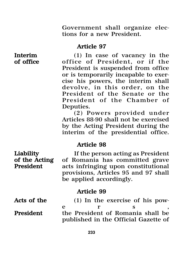Government shall organize elections for a new President.

# Article 97

Interim (1) In case of vacancy in the<br>
of office of President, or if the office of President, or if the President is suspended from office or is temporarily incapable to exercise his powers, the interim shall devolve, in this order, on the President of the Senate or the President of the Chamber of Deputies.

> (2) Powers provided under Articles 88-90 shall not be exercised by the Acting President during the interim of the presidential office.

#### Article 98

Liability If the person acting as President of the Acting of Romania has committed grave<br>President acts infringing upon constitutional acts infringing upon constitutional provisions, Articles 95 and 97 shall be applied accordingly.

## Article 99

Acts of the (1) In the exercise of his powe r s, **President** the President of Romania shall be published in the Official Gazette of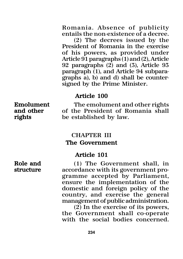Romania. Absence of publicity entails the non-existence of a decree.

(2) The decrees issued by the President of Romania in the exercise of his powers, as provided under Article  $\overline{91}$  paragraphs (1) and (2), Article 92 paragraphs (2) and (3), Article 93 paragraph (1), and Article 94 subparagraphs a), b) and d) shall be countersigned by the Prime Minister.

#### Article 100

Emolument The emolument and other rights<br>and other of the President of Romania shall and other of the President of Romania shall<br>rights be established by law. be established by law.

# CHAPTER III The Government

#### Article 101

Role and (1) The Government shall, in structure accordance with its government programme accepted by Parliament, ensure the implementation of the domestic and foreign policy of the country, and exercise the general management of public administration.

(2) In the exercise of its powers, the Government shall co-operate with the social bodies concerned.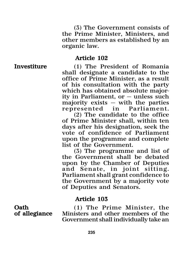(3) The Government consists of the Prime Minister, Ministers, and other members as established by an organic law.

## Article 102

Investiture (1) The President of Romania shall designate a candidate to the office of Prime Minister, as a result of his consultation with the party which has obtained absolute majority in Parliament, or — unless such majority exists — with the parties represented

(2) The candidate to the office of Prime Minister shall, within ten days after his designation, seek the vote of confidence of Parliament upon the programme and complete list of the Government.

(3) The programme and list of the Government shall be debated upon by the Chamber of Deputies and Senate, in joint sitting. Parliament shall grant confidence to the Government by a majority vote of Deputies and Senators.

## Article 103

**Oath** (1) The Prime Minister, the of allegiance Ministers and other members of the Ministers and other members of the Government shall individually take an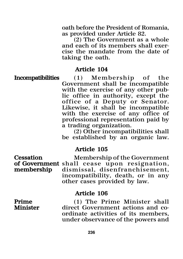oath before the President of Romania, as provided under Article 82.

(2) The Government as a whole and each of its members shall exercise the mandate from the date of taking the oath.

#### Article 104

Incompatibilities (1) Membership of the Government shall be incompatible with the exercise of any other public office in authority, except the office of a Deputy or Senator. Likewise, it shall be incompatible with the exercise of any office of professional representation paid by a trading organization.

(2) Other incompatibilities shall be established by an organic law.

#### Article 105

Cessation Membership of the Government of Government shall cease upon resignation,<br>membership dismissal, disenfranchisement, dismissal, disenfranchisement, incompatibility, death, or in any other cases provided by law.

#### Article 106

**Prime** (1) The Prime Minister shall<br> **Minister** direct Government actions and codirect Government actions and coordinate activities of its members, under observance of the powers and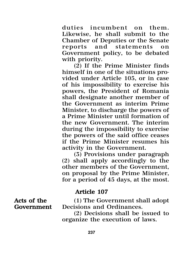duties incumbent on them. Likewise, he shall submit to the Chamber of Deputies or the Senate reports and statements on Government policy, to be debated with priority.

(2) If the Prime Minister finds himself in one of the situations provided under Article 105, or in case of his impossibility to exercise his powers, the President of Romania shall designate another member of the Government as interim Prime Minister, to discharge the powers of a Prime Minister until formation of the new Government. The interim during the impossibility to exercise the powers of the said office ceases if the Prime Minister resumes his activity in the Government.

(3) Provisions under paragraph (2) shall apply accordingly to the other members of the Government, on proposal by the Prime Minister, for a period of 45 days, at the most.

### Article 107

Acts of the (1) The Government shall adopt Government Decisions and Ordinances.

> (2) Decisions shall be issued to organize the execution of laws.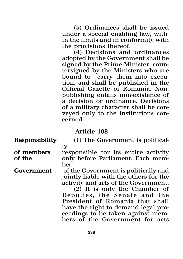(3) Ordinances shall be issued under a special enabling law, within the limits and in conformity with the provisions thereof.

(4) Decisions and ordinances adopted by the Government shall be signed by the Prime Minister, countersigned by the Ministers who are bound to carry them into execution, and shall be published in the Official Gazette of Romania. Nonpublishing entails non-existence of a decision or ordinance. Decisions of a military character shall be conveyed only to the institutions concerned.

# Article 108

Responsibility (1) The Government is politically

of members responsible for its entire activity<br>of the only before Parliament. Each memonly before Parliament. Each member

Government of the Government is politically and jointly liable with the others for the activity and acts of the Government.

(2) It is only the Chamber of Deputies, the Senate and the President of Romania that shall have the right to demand legal proceedings to be taken against members of the Government for acts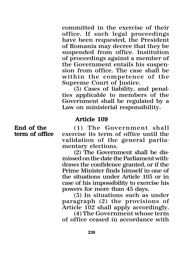committed in the exercise of their office. If such legal proceedings have been requested, the President of Romania may decree that they be suspended from office. Institution of proceedings against a member of the Government entails his suspension from office. The case shall be within the competence of the Supreme Court of Justice.

(3) Cases of liability, and penalties applicable to members of the Government shall be regulated by a Law on ministerial responsibility.

# Article 109

**End of the** (1) The Government shall<br>**term of office** exercise its term of office until the exercise its term of office until the validation of the general parliamentary elections.

> (2) The Government shall be dismissed on the date the Parliament withdraws the confidence granted, or if the Prime Minister finds himself in one of the situations under Article 105 or in case of his impossibility to exercise his powers for more than 45 days.

> (3) In situations such as under paragraph (2) the provisions of Article 102 shall apply accordingly.

> (4) The Government whose term of office ceased in accordance with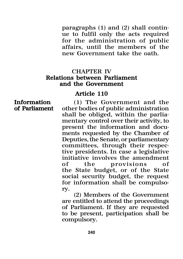paragraphs (1) and (2) shall continue to fulfil only the acts required for the administration of public affairs, until the members of the new Government take the oath.

# CHAPTER IV Relations between Parliament and the Government

# Article 110

Information (1) The Government and the<br>
of Parliament other bodies of public administration other bodies of public administration shall be obliged, within the parliamentary control over their activity, to present the information and documents requested by the Chamber of Deputies, the Senate, or parliamentary committees, through their respective presidents. In case a legislative initiative involves the amendment of the provisions of the State budget, or of the State social security budget, the request for information shall be compulsory.

(2) Members of the Government are entitled to attend the proceedings of Parliament. If they are requested to be present, participation shall be compulsory.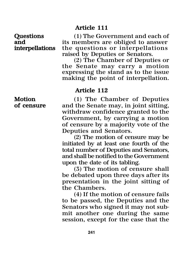# Article 111

Questions (1) The Government and each of and its members are obliged to answer<br>interpellations the questions or interpellations the questions or interpellations raised by Deputies or Senators.

(2) The Chamber of Deputies or the Senate may carry a motion expressing the stand as to the issue making the point of interpellation.

# Article 112

**Motion** (1) The Chamber of Deputies of censure and the Senate may, in joint sitting, withdraw confidence granted to the Government, by carrying a motion of censure by a majority vote of the Deputies and Senators.

> (2) The motion of censure may be initiated by at least one fourth of the total number of Deputies and Senators, and shall be notified to the Government upon the date of its tabling.

> (3) The motion of censure shall be debated upon three days after its presentation in the joint sitting of the Chambers.

> (4) If the motion of censure fails to be passed, the Deputies and the Senators who signed it may not submit another one during the same session, except for the case that the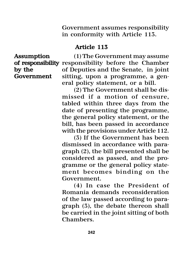Government assumes responsibility in conformity with Article 113.

# Article 113

Assumption (1) The Government may assume of responsibility responsibility before the Chamber by the of Deputies and the Senate, in joint Government sitting, upon a programme, a general policy statement, or a bill.

> (2) The Government shall be dismissed if a motion of censure, tabled within three days from the date of presenting the programme, the general policy statement, or the bill, has been passed in accordance with the provisions under Article 112.

> (3) If the Government has been dismissed in accordance with paragraph (2), the bill presented shall be considered as passed, and the programme or the general policy statement becomes binding on the Government.

> (4) In case the President of Romania demands reconsideration of the law passed according to paragraph (3), the debate thereon shall be carried in the joint sitting of both Chambers.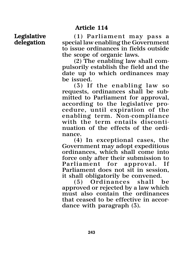Legislative (1) Parliament may pass a<br>delegation special law enabling the Government special law enabling the Government to issue ordinances in fields outside the scope of organic laws.

> (2) The enabling law shall compulsorily establish the field and the date up to which ordinances may be issued.

> (3) If the enabling law so requests, ordinances shall be submitted to Parliament for approval, according to the legislative procedure, until expiration of the enabling term. Non-compliance with the term entails discontinuation of the effects of the ordinance.

> (4) In exceptional cases, the Government may adopt expeditious ordinances, which shall come into force only after their submission to Parliament for approval. If Parliament does not sit in session, it shall obligatorily be convened.<br>(5) Ordinances shall l

> (5) Ordinances shall be approved or rejected by a law which must also contain the ordinances that ceased to be effective in accordance with paragraph (3).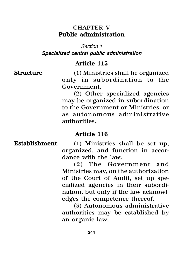# CHAPTER V Public administration

*Section 1*

*Specialized central public administration*

# Article 115

Structure (1) Ministries shall be organized only in subordination to the Government.

> (2) Other specialized agencies may be organized in subordination to the Government or Ministries, or as autonomous administrative authorities.

# Article 116

# Establishment (1) Ministries shall be set up, organized, and function in accordance with the law.

(2) The Government and Ministries may, on the authorization of the Court of Audit, set up specialized agencies in their subordination, but only if the law acknowledges the competence thereof.

(3) Autonomous administrative authorities may be established by an organic law.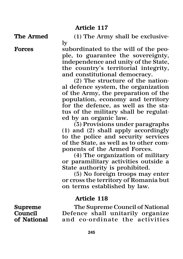The Armed (1) The Army shall be exclusively

Forces subordinated to the will of the people, to guarantee the sovereignty, independence and unity of the State, the country's territorial integrity, and constitutional democracy.

> (2) The structure of the national defence system, the organization of the Army, the preparation of the population, economy and territory for the defence, as well as the status of the military shall be regulated by an organic law.

> (3) Provisions under paragraphs (1) and (2) shall apply accordingly to the police and security services of the State, as well as to other components of the Armed Forces.

> (4) The organization of military or paramilitary activities outside a State authority is prohibited.

> (5) No foreign troops may enter or cross the territory of Romania but on terms established by law.

#### Article 118

Supreme The Supreme Council of National **Council** Defence shall unitarily organize<br>
of National and co-ordinate the activities and co-ordinate the activities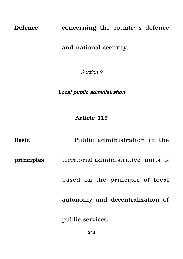# Defence concerning the country's defence

and national security.

*Section 2*

*Local public administration*

# Article 119

Basic Public administration in the principles territorial-administrative units is based on the principle of local autonomy and decentralization of

public services.

**246**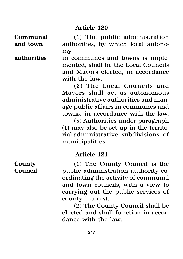Communal (1) The public administration and town authorities, by which local autonomy

authorities in communes and towns is implemented, shall be the Local Councils and Mayors elected, in accordance with the law.

> (2) The Local Councils and Mayors shall act as autonomous administrative authorities and manage public affairs in communes and towns, in accordance with the law.

> (3) Authorities under paragraph (1) may also be set up in the territorial-administrative subdivisions of municipalities.

# Article 121

County (1) The County Council is the Council public administration authority coordinating the activity of communal and town councils, with a view to carrying out the public services of county interest.

> (2) The County Council shall be elected and shall function in accordance with the law.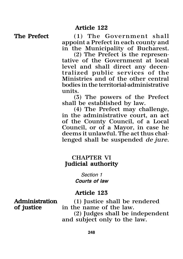The Prefect (1) The Government shall appoint a Prefect in each county and in the Municipality of Bucharest.

(2) The Prefect is the representative of the Government at local level and shall direct any decentralized public services of the Ministries and of the other central bodies in the territorial-administrative units.

(3) The powers of the Prefect shall be established by law.

(4) The Prefect may challenge, in the administrative court, an act of the County Council, of a Local Council, or of a Mayor, in case he deems it unlawful. The act thus challenged shall be suspended *de jure.*

# CHAPTER VI Judicial authority

*Section 1 Courts of law*

# Article 123

Administration (1) Justice shall be rendered<br>of justice in the name of the law. in the name of the law. (2) Judges shall be independent and subject only to the law.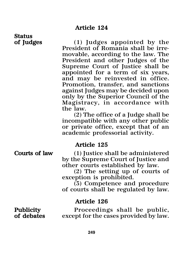### Article 124

**Status** 

of Judges (1) Judges appointed by the President of Romania shall be irremovable, according to the law. The President and other Judges of the Supreme Court of Justice shall be appointed for a term of six years, and may be reinvested in office. Promotion, transfer, and sanctions against Judges may be decided upon only by the Superior Council of the Magistracy, in accordance with the law.

> (2) The office of a Judge shall be incompatible with any other public or private office, except that of an academic professorial activity.

#### Article 125

Courts of law (1) Justice shall be administered by the Supreme Court of Justice and other courts established by law.

> (2) The setting up of courts of exception is prohibited.

> (3) Competence and procedure of courts shall be regulated by law.

### Article 126

Publicity Proceedings shall be public,<br>
of debates except for the cases provided by law. except for the cases provided by law.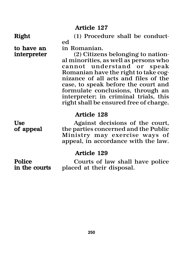to have an in Romanian.<br>interpreter (2) Citizen

Article 127

Right (1) Procedure shall be conducted

 $(2)$  Citizens belonging to national minorities, as well as persons who cannot understand or Romanian have the right to take cognizance of all acts and files of the case, to speak before the court and formulate conclusions, through an interpreter; in criminal trials, this right shall be ensured free of charge.

#### Article 128

Use Bern and Magainst decisions of the court,<br>
of appeal the parties concerned and the Public the parties concerned and the Public Ministry may exercise ways of appeal, in accordance with the law.

#### Article 129

**Police** Courts of law shall have police<br>in the courts placed at their disposal. placed at their disposal.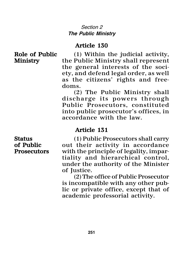### *Section 2 The Public Ministry*

### Article 130

Role of Public (1) Within the judicial activity, Ministry the Public Ministry shall represent the general interests of the society, and defend legal order, as well as the citizens' rights and freedoms.

> (2) The Public Ministry shall discharge its powers through Public Prosecutors, constituted into public prosecutor's offices, in accordance with the law.

### Article 131

Status (1) Public Prosecutors shall carry<br>
of Public out their activity in accordance out their activity in accordance Prosecutors with the principle of legality, impartiality and hierarchical control, under the authority of the Minister of Justice.

> (2) The office of Public Prosecutor is incompatible with any other public or private office, except that of academic professorial activity.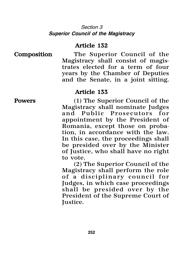### *Section 3 Superior Council of the Magistracy*

### Article 132

Composition The Superior Council of the Magistracy shall consist of magistrates elected for a term of four years by the Chamber of Deputies and the Senate, in a joint sitting.

### Article 133

Powers (1) The Superior Council of the Magistracy shall nominate Judges and Public Prosecutors for appointment by the President of Romania, except those on probation, in accordance with the law. In this case, the proceedings shall be presided over by the Minister of Justice, who shall have no right to vote.

> (2) The Superior Council of the Magistracy shall perform the role of a disciplinary council for Judges, in which case proceedings shall be presided over by the President of the Supreme Court of Justice.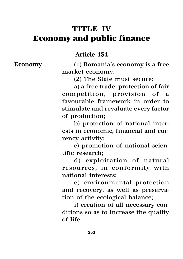# TITLE IV **Economy and public finance**

### Article 134

Economy (1) Romania's economy is a free market economy.

(2) The State must secure:

a) a free trade, protection of fair competition, provision of a favourable framework in order to stimulate and revaluate every factor of production;

b) protection of national interests in economic, financial and currency activity;

c) promotion of national scientific research;

d) exploitation of natural resources, in conformity with national interests;

e) environmental protection and recovery, as well as preservation of the ecological balance;

f) creation of all necessary conditions so as to increase the quality of life.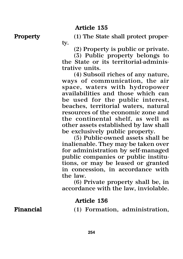**Property** (1) The State shall protect property.

(2) Property is public or private.

(3) Public property belongs to the State or its territorial-administrative units.

(4) Subsoil riches of any nature, ways of communication, the air space, waters with hydropower availabilities and those which can be used for the public interest, beaches, territorial waters, natural resources of the economic zone and the continental shelf, as well as other assets established by law shall be exclusively public property.

(5) Public-owned assets shall be inalienable. They may be taken over for administration by self-managed public companies or public institutions, or may be leased or granted in concession, in accordance with the law.

(6) Private property shall be, in accordance with the law, inviolable.

### Article 136

Financial (1) Formation, administration,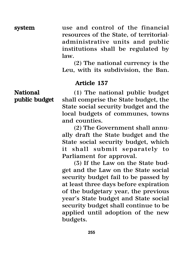system use and control of the financial resources of the State, of territorialadministrative units and public institutions shall be regulated by law.

> (2) The national currency is the Leu, with its subdivision, the Ban.

### Article 137

National (1) The national public budget public budget shall comprise the State budget, the State social security budget and the local budgets of communes, towns and counties.

> (2) The Government shall annually draft the State budget and the State social security budget, which it shall submit separately to Parliament for approval.

> (3) If the Law on the State budget and the Law on the State social security budget fail to be passed by at least three days before expiration of the budgetary year, the previous year's State budget and State social security budget shall continue to be applied until adoption of the new budgets.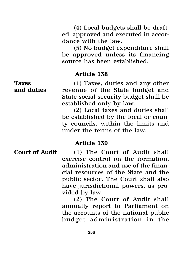(4) Local budgets shall be drafted, approved and executed in accordance with the law.

(5) No budget expenditure shall be approved unless its financing source has been established.

### Article 138

Taxes (1) Taxes, duties and any other and duties revenue of the State budget and State social security budget shall be established only by law.

> (2) Local taxes and duties shall be established by the local or county councils, within the limits and under the terms of the law.

### Article 139

Court of Audit (1) The Court of Audit shall exercise control on the formation, administration and use of the financial resources of the State and the public sector. The Court shall also have jurisdictional powers, as provided by law.

(2) The Court of Audit shall annually report to Parliament on the accounts of the national public budget administration in the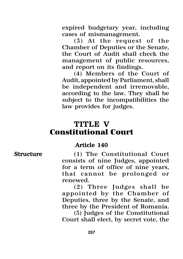expired budgetary year, including cases of mismanagement.

(3) At the request of the Chamber of Deputies or the Senate, the Court of Audit shall check the management of public resources, and report on its findings.

(4) Members of the Court of Audit, appointed by Parliament, shall be independent and irremovable, according to the law. They shall be subject to the incompatibilities the law provides for judges.

## TITLE V **Constitutional Court**

### Article 140

Structure (1) The Constitutional Court consists of nine Judges, appointed for a term of office of nine years, that cannot be prolonged or renewed.

> (2) Three Judges shall be appointed by the Chamber of Deputies, three by the Senate, and three by the President of Romania.

> (3) Judges of the Constitutional Court shall elect, by secret vote, the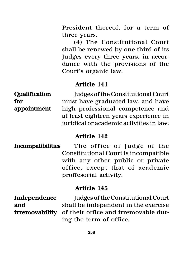President thereof, for a term of three years.

(4) The Constitutional Court shall be renewed by one third of its Judges every three years, in accordance with the provisions of the Court's organic law.

### Article 141

Qualification Judges of the Constitutional Court for must have graduated law, and have appointment high professional competence and at least eighteen years experience in juridical or academic activities in law.

### Article 142

Incompatibilities The office of Judge of the Constitutional Court is incompatible with any other public or private office, except that of academic proffesorial activity.

### Article 143

Independence Judges of the Constitutional Court and shall be independent in the exercise irremovability of their office and irremovable during the term of office.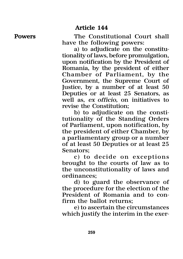**Powers** The Constitutional Court shall have the following powers:

a) to adjudicate on the constitutionality of laws, before promulgation, upon notification by the President of Romania, by the president of either Chamber of Parliament, by the Government, the Supreme Court of Justice, by a number of at least 50 Deputies or at least 25 Senators, as well as, *ex officio,* on initiatives to revise the Constitution;

b) to adjudicate on the constitutionality of the Standing Orders of Parliament, upon notification, by the president of either Chamber, by a parliamentary group or a number of at least 50 Deputies or at least 25 Senators;

c) to decide on exceptions brought to the courts of law as to the unconstitutionality of laws and ordinances;

d) to guard the observance of the procedure for the election of the President of Romania and to confirm the ballot returns;

e) to ascertain the circumstances which justify the interim in the exer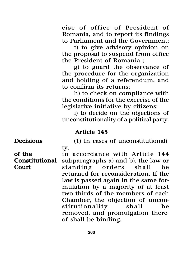cise of office of President of Romania, and to report its findings to Parliament and the Government;

f) to give advisory opinion on the proposal to suspend from office the President of Romania ;

g) to guard the observance of the procedure for the organization and holding of a referendum, and to confirm its returns;

h) to check on compliance with the conditions for the exercise of the legislative initiative by citizens;

i) to decide on the objections of unconstitutionality of a political party.

### Article 145

Decisions (1) In cases of unconstitutionality,

of the in accordance with Article 144 Constitutional subparagraphs a) and b), the law or Court standing orders shall be returned for reconsideration. If the law is passed again in the same formulation by a majority of at least two thirds of the members of each Chamber, the objection of unconstitutionality shall be removed, and promulgation thereof shall be binding.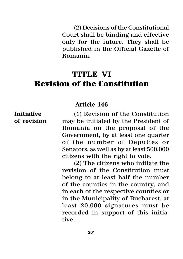(2) Decisions of the Constitutional Court shall be binding and effective only for the future. They shall be published in the Official Gazette of Romania.

# TITLE VI **Revision of the Constitution**

### Article 146

Initiative (1) Revision of the Constitution of revision may be initiated by the President of Romania on the proposal of the Government, by at least one quarter of the number of Deputies or Senators, as well as by at least 500,000 citizens with the right to vote.

> (2) The citizens who initiate the revision of the Constitution must belong to at least half the number of the counties in the country, and in each of the respective counties or in the Municipality of Bucharest, at least 20,000 signatures must be recorded in support of this initiative.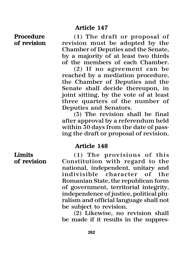**Procedure** (1) The draft or proposal of **of revision** revision must be adopted by the revision must be adopted by the Chamber of Deputies and the Senate, by a majority of at least two thirds of the members of each Chamber.

(2) If no agreement can be reached by a mediation procedure, the Chamber of Deputies and the Senate shall decide thereupon, in joint sitting, by the vote of at least three quarters of the number of Deputies and Senators.

(3) The revision shall be final after approval by a referendum held within 30 days from the date of passing the draft or proposal of revision.

### Article 148

Limits (1) The provisions of this<br>
of revision Constitution with regard to the Constitution with regard to the national, independent, unitary and indivisible character of the Romanian State, the republican form of government, territorial integrity, independence of justice, political pluralism and official language shall not be subject to revision.

> (2) Likewise, no revision shall be made if it results in the suppres-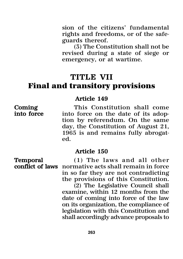sion of the citizens' fundamental rights and freedoms, or of the safeguards thereof.

(3) The Constitution shall not be revised during a state of siege or emergency, or at wartime.

## TITLE VII

## **Final and transitory provisions**

### Article 149

**Coming This Constitution shall come<br>into force** into force on the date of its adopinto force on the date of its adoption by referendum. On the same day, the Constitution of August 21, 1965 is and remains fully abrogated.

#### Article 150

**Temporal** (1) The laws and all other<br>**conflict of laws** normative acts shall remain in force normative acts shall remain in force in so far they are not contradicting the provisions of this Constitution.

(2) The Legislative Council shall examine, within 12 months from the date of coming into force of the law on its organization, the compliance of legislation with this Constitution and shall accordingly advance proposals to